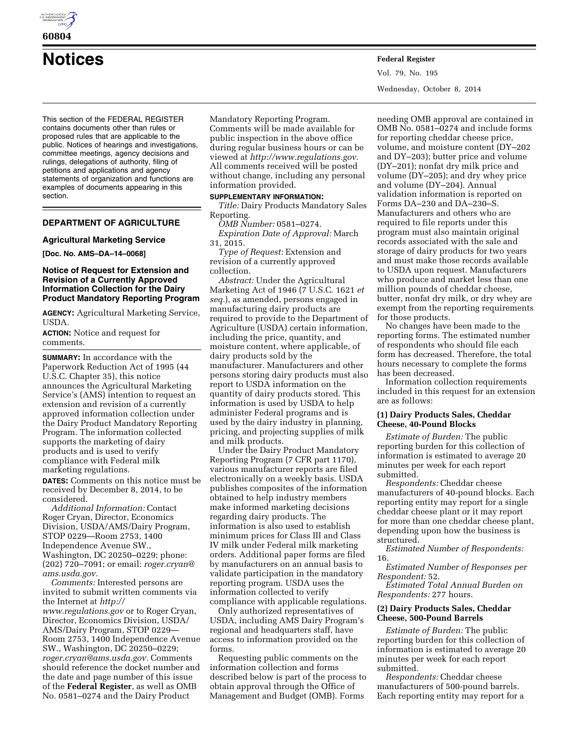

**60804** 

**Notices Federal Register**

This section of the FEDERAL REGISTER contains documents other than rules or proposed rules that are applicable to the public. Notices of hearings and investigations, committee meetings, agency decisions and rulings, delegations of authority, filing of petitions and applications and agency statements of organization and functions are examples of documents appearing in this section.

# **DEPARTMENT OF AGRICULTURE**

## **Agricultural Marketing Service**

**[Doc. No. AMS–DA–14–0068]** 

# **Notice of Request for Extension and Revision of a Currently Approved Information Collection for the Dairy Product Mandatory Reporting Program**

**AGENCY:** Agricultural Marketing Service, USDA.

**ACTION:** Notice and request for comments.

**SUMMARY:** In accordance with the Paperwork Reduction Act of 1995 (44 U.S.C. Chapter 35), this notice announces the Agricultural Marketing Service's (AMS) intention to request an extension and revision of a currently approved information collection under the Dairy Product Mandatory Reporting Program. The information collected supports the marketing of dairy products and is used to verify compliance with Federal milk marketing regulations.

**DATES:** Comments on this notice must be received by December 8, 2014, to be considered.

*Additional Information:* Contact Roger Cryan, Director, Economics Division, USDA/AMS/Dairy Program, STOP 0229—Room 2753, 1400 Independence Avenue SW., Washington, DC 20250–0229; phone: (202) 720–7091; or email: *[roger.cryan@](mailto:roger.cryan@ams.usda.gov) [ams.usda.gov.](mailto:roger.cryan@ams.usda.gov)* 

*Comments:* Interested persons are invited to submit written comments via the Internet at *[http://](http://www.regulations.gov) [www.regulations.gov](http://www.regulations.gov)* or to Roger Cryan, Director, Economics Division, USDA/ AMS/Dairy Program, STOP 0229— Room 2753, 1400 Independence Avenue SW., Washington, DC 20250–0229; *[roger.cryan@ams.usda.gov.](mailto:roger.cryan@ams.usda.gov)* Comments should reference the docket number and the date and page number of this issue of the **Federal Register**, as well as OMB No. 0581–0274 and the Dairy Product

Mandatory Reporting Program. Comments will be made available for public inspection in the above office during regular business hours or can be viewed at *[http://www.regulations.gov.](http://www.regulations.gov)*  All comments received will be posted without change, including any personal information provided.

# **SUPPLEMENTARY INFORMATION:**

*Title:* Dairy Products Mandatory Sales Reporting.

*OMB Number:* 0581–0274.

*Expiration Date of Approval:* March 31, 2015.

*Type of Request:* Extension and revision of a currently approved collection.

*Abstract:* Under the Agricultural Marketing Act of 1946 (7 U.S.C. 1621 *et seq.*), as amended, persons engaged in manufacturing dairy products are required to provide to the Department of Agriculture (USDA) certain information, including the price, quantity, and moisture content, where applicable, of dairy products sold by the manufacturer. Manufacturers and other persons storing dairy products must also report to USDA information on the quantity of dairy products stored. This information is used by USDA to help administer Federal programs and is used by the dairy industry in planning, pricing, and projecting supplies of milk and milk products.

Under the Dairy Product Mandatory Reporting Program (7 CFR part 1170), various manufacturer reports are filed electronically on a weekly basis. USDA publishes composites of the information obtained to help industry members make informed marketing decisions regarding dairy products. The information is also used to establish minimum prices for Class III and Class IV milk under Federal milk marketing orders. Additional paper forms are filed by manufacturers on an annual basis to validate participation in the mandatory reporting program. USDA uses the information collected to verify compliance with applicable regulations.

Only authorized representatives of USDA, including AMS Dairy Program's regional and headquarters staff, have access to information provided on the forms.

Requesting public comments on the information collection and forms described below is part of the process to obtain approval through the Office of Management and Budget (OMB). Forms

Vol. 79, No. 195 Wednesday, October 8, 2014

needing OMB approval are contained in OMB No. 0581–0274 and include forms for reporting cheddar cheese price, volume, and moisture content (DY–202 and DY–203); butter price and volume (DY–201); nonfat dry milk price and volume (DY–205); and dry whey price and volume (DY–204). Annual validation information is reported on Forms DA–230 and DA–230–S. Manufacturers and others who are required to file reports under this program must also maintain original records associated with the sale and storage of dairy products for two years and must make those records available to USDA upon request. Manufacturers who produce and market less than one million pounds of cheddar cheese, butter, nonfat dry milk, or dry whey are exempt from the reporting requirements for those products.

No changes have been made to the reporting forms. The estimated number of respondents who should file each form has decreased. Therefore, the total hours necessary to complete the forms has been decreased.

Information collection requirements included in this request for an extension are as follows:

# **(1) Dairy Products Sales, Cheddar Cheese, 40-Pound Blocks**

*Estimate of Burden:* The public reporting burden for this collection of information is estimated to average 20 minutes per week for each report submitted.

*Respondents:* Cheddar cheese manufacturers of 40-pound blocks. Each reporting entity may report for a single cheddar cheese plant or it may report for more than one cheddar cheese plant, depending upon how the business is structured.

*Estimated Number of Respondents:*  16.

*Estimated Number of Responses per Respondent:* 52.

*Estimated Total Annual Burden on Respondents:* 277 hours.

### **(2) Dairy Products Sales, Cheddar Cheese, 500-Pound Barrels**

*Estimate of Burden:* The public reporting burden for this collection of information is estimated to average 20 minutes per week for each report submitted.

*Respondents:* Cheddar cheese manufacturers of 500-pound barrels. Each reporting entity may report for a